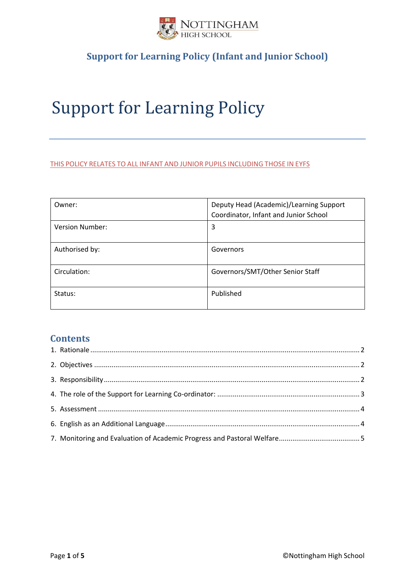

# Support for Learning Policy

#### THIS POLICY RELATES TO ALL INFANT AND JUNIOR PUPILS INCLUDING THOSE IN EYFS

| Owner:                 | Deputy Head (Academic)/Learning Support<br>Coordinator, Infant and Junior School |
|------------------------|----------------------------------------------------------------------------------|
| <b>Version Number:</b> | 3                                                                                |
| Authorised by:         | Governors                                                                        |
| Circulation:           | Governors/SMT/Other Senior Staff                                                 |
| Status:                | Published                                                                        |

#### **Contents**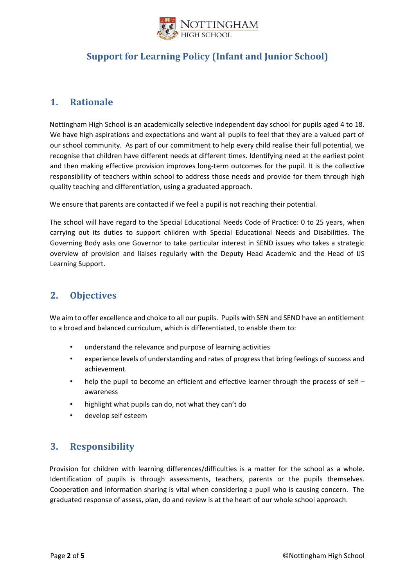

#### <span id="page-1-0"></span>**1. Rationale**

Nottingham High School is an academically selective independent day school for pupils aged 4 to 18. We have high aspirations and expectations and want all pupils to feel that they are a valued part of our school community. As part of our commitment to help every child realise their full potential, we recognise that children have different needs at different times. Identifying need at the earliest point and then making effective provision improves long-term outcomes for the pupil. It is the collective responsibility of teachers within school to address those needs and provide for them through high quality teaching and differentiation, using a graduated approach.

We ensure that parents are contacted if we feel a pupil is not reaching their potential.

The school will have regard to the Special Educational Needs Code of Practice: 0 to 25 years, when carrying out its duties to support children with Special Educational Needs and Disabilities. The Governing Body asks one Governor to take particular interest in SEND issues who takes a strategic overview of provision and liaises regularly with the Deputy Head Academic and the Head of IJS Learning Support.

## <span id="page-1-1"></span>**2. Objectives**

We aim to offer excellence and choice to all our pupils. Pupils with SEN and SEND have an entitlement to a broad and balanced curriculum, which is differentiated, to enable them to:

- understand the relevance and purpose of learning activities
- experience levels of understanding and rates of progress that bring feelings of success and achievement.
- help the pupil to become an efficient and effective learner through the process of self awareness
- highlight what pupils can do, not what they can't do
- develop self esteem

## <span id="page-1-2"></span>**3. Responsibility**

Provision for children with learning differences/difficulties is a matter for the school as a whole. Identification of pupils is through assessments, teachers, parents or the pupils themselves. Cooperation and information sharing is vital when considering a pupil who is causing concern. The graduated response of assess, plan, do and review is at the heart of our whole school approach.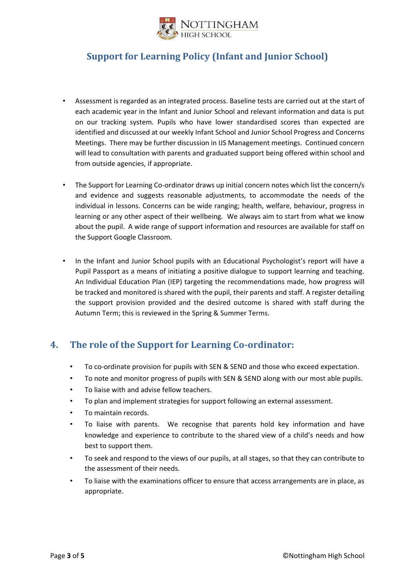

- Assessment is regarded as an integrated process. Baseline tests are carried out at the start of each academic year in the Infant and Junior School and relevant information and data is put on our tracking system. Pupils who have lower standardised scores than expected are identified and discussed at our weekly Infant School and Junior School Progress and Concerns Meetings. There may be further discussion in IJS Management meetings. Continued concern will lead to consultation with parents and graduated support being offered within school and from outside agencies, if appropriate.
- The Support for Learning Co-ordinator draws up initial concern notes which list the concern/s and evidence and suggests reasonable adjustments, to accommodate the needs of the individual in lessons. Concerns can be wide ranging; health, welfare, behaviour, progress in learning or any other aspect of their wellbeing. We always aim to start from what we know about the pupil. A wide range of support information and resources are available for staff on the Support Google Classroom.
- In the Infant and Junior School pupils with an Educational Psychologist's report will have a Pupil Passport as a means of initiating a positive dialogue to support learning and teaching. An Individual Education Plan (IEP) targeting the recommendations made, how progress will be tracked and monitored is shared with the pupil, their parents and staff. A register detailing the support provision provided and the desired outcome is shared with staff during the Autumn Term; this is reviewed in the Spring & Summer Terms.

#### <span id="page-2-0"></span>**4. The role of the Support for Learning Co-ordinator:**

- To co-ordinate provision for pupils with SEN & SEND and those who exceed expectation.
- To note and monitor progress of pupils with SEN & SEND along with our most able pupils.
- To liaise with and advise fellow teachers.
- To plan and implement strategies for support following an external assessment.
- To maintain records.
- To liaise with parents. We recognise that parents hold key information and have knowledge and experience to contribute to the shared view of a child's needs and how best to support them.
- To seek and respond to the views of our pupils, at all stages, so that they can contribute to the assessment of their needs.
- To liaise with the examinations officer to ensure that access arrangements are in place, as appropriate.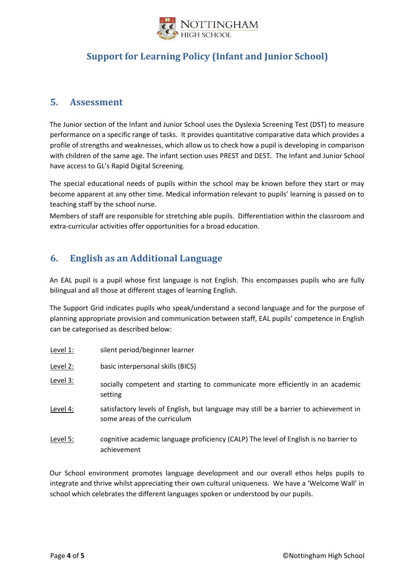

#### <span id="page-3-0"></span>**5. Assessment**

The Junior section of the Infant and Junior School uses the Dyslexia Screening Test (DST) to measure performance on a specific range of tasks. It provides quantitative comparative data which provides a profile of strengths and weaknesses, which allow us to check how a pupil is developing in comparison with children of the same age. The infant section uses PREST and DEST. The Infant and Junior School have access to GL's Rapid Digital Screening.

The special educational needs of pupils within the school may be known before they start or may become apparent at any other time. Medical information relevant to pupils' learning is passed on to teaching staff by the school nurse.

Members of staff are responsible for stretching able pupils. Differentiation within the classroom and extra-curricular activities offer opportunities for a broad education.

## <span id="page-3-1"></span>**6. English as an Additional Language**

An EAL pupil is a pupil whose first language is not English. This encompasses pupils who are fully bilingual and all those at different stages of learning English.

The Support Grid indicates pupils who speak/understand a second language and for the purpose of planning appropriate provision and communication between staff, EAL pupils' competence in English can be categorised as described below:

- Level 1: silent period/beginner learner
- Level 2: basic interpersonal skills (BICS)
- Level 3: socially competent and starting to communicate more efficiently in an academic setting
- Level 4: satisfactory levels of English, but language may still be a barrier to achievement in some areas of the curriculum
- Level 5: cognitive academic language proficiency (CALP) The level of English is no barrier to achievement

Our School environment promotes language development and our overall ethos helps pupils to integrate and thrive whilst appreciating their own cultural uniqueness. We have a 'Welcome Wall' in school which celebrates the different languages spoken or understood by our pupils.